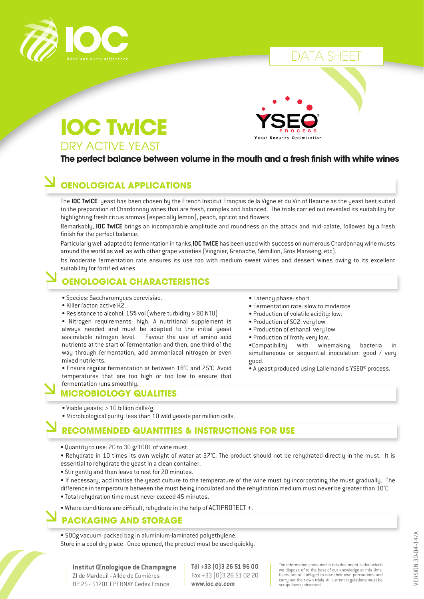

### A SHEI





#### **The perfect balance between volume in the mouth and a fresh finish with white wines**

#### **OENOLOGICAL APPLICATIONS**

The **IOC TwICE** yeast has been chosen by the French Institut Français de la Vigne et du Vin of Beaune as the yeast best suited to the preparation of Chardonnay wines that are fresh, complex and balanced. The trials carried out revealed its suitability for highlighting fresh citrus aromas (especially lemon), peach, apricot and flowers.

Remarkably, **IOC TwICE** brings an incomparable amplitude and roundness on the attack and mid-palate, followed by a fresh finish for the perfect balance.

Particularly well adapted to fermentation in tanks,**IOC TwICE** has been used with success on numerous Chardonnay wine musts around the world as well as with other grape varieties (Viognier, Grenache, Sémillon, Gros Manseng, etc).

Its moderate fermentation rate ensures its use too with medium sweet wines and dessert wines owing to its excellent suitability for fortified wines.

#### **OENOLOGICAL CHARACTERISTICS**

- Species: Saccharomyces cerevisiae.
- Killer factor: active K2.
- Resistance to alcohol: 15% vol (where turbidity > 80 NTU)

• Nitrogen requirements: high. A nutritional supplement is always needed and must be adapted to the initial yeast assimilable nitrogen level. Favour the use of amino acid nutrients at the start of fermentation and then, one third of the way through fermentation, add ammoniacal nitrogen or even mixed nutrients.

• Ensure regular fermentation at between 18°C and 25°C. Avoid temperatures that are too high or too low to ensure that fermentation runs smoothly.

#### **MICROBIOLOGY QUALITIES**

- Viable yeasts: > 10 billion cells/g.
- Microbiological purity: less than 10 wild yeasts per million cells.

#### **RECOMMENDED QUANTITIES & INSTRUCTIONS FOR USE**

- Quantity to use: 20 to 30 g/100L of wine must.
- Rehydrate in 10 times its own weight of water at 37°C. The product should not be rehydrated directly in the must. It is essential to rehydrate the yeast in a clean container.
- Stir gently and then leave to rest for 20 minutes.
- If necessary, acclimatise the yeast culture to the temperature of the wine must by incorporating the must gradually. The
- difference in temperature between the must being inoculated and the rehydration medium must never be greater than 10°C.
- Total rehydration time must never exceed 45 minutes.
- Where conditions are difficult, rehydrate in the help of ACTIPROTECT +.

#### **PACKAGING AND STORAGE**

• 500g vacuum-packed bag in aluminium-laminated polyethylene. Store in a cool dry place. Once opened, the product must be used quickly.

**Institut Œnologique de Champagne** ZI de Mardeuil - Allée de Cumières BP 25 - 51201 EPERNAY Cedex France

**Tél +33 (0)3 26 51 96 00** Fax +33 (0)3 26 51 02 20 *www.ioc.eu.com*

The information contained in this document is that which we dispose of to the best of our knowledge at this time. Users are still obliged to take their own precautions and carry out their own trials. All current regulations must be scrupulously observed.

• Latency phase: short.

- Fermentation rate: slow to moderate.
- Production of volatile acidity: low.
- Production of SO2: very low.
- Production of ethanal: very low.
- Production of froth: very low.

•Compatibility with winemaking bacteria in simultaneous or sequential inoculation: good / very good.

• A yeast produced using Lallemand's YSEO® process.